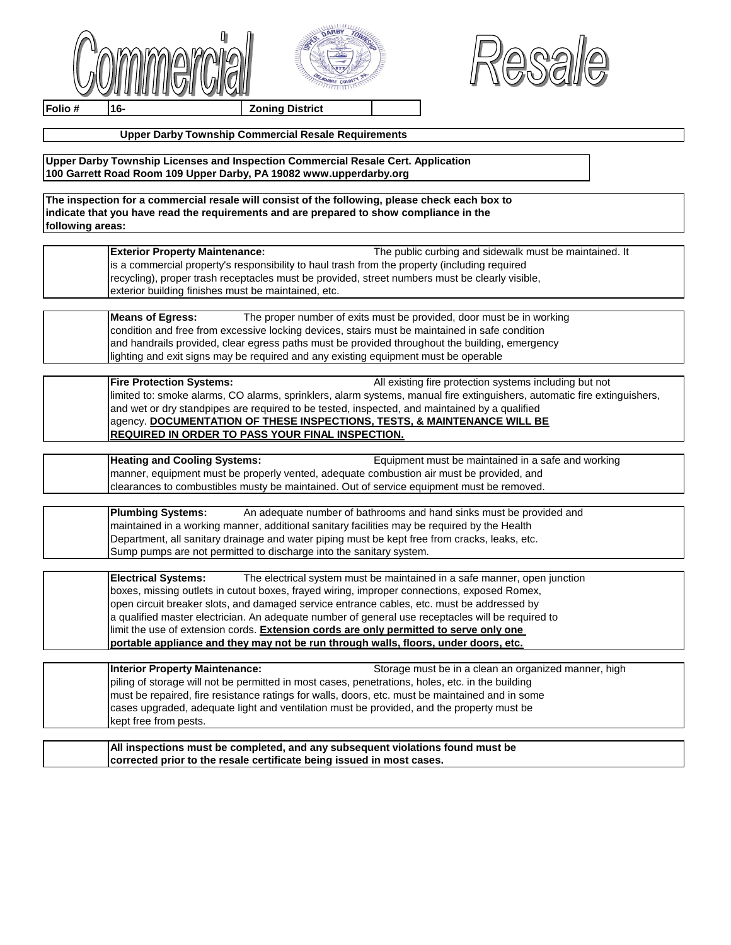





**Folio # 16- Zoning District**

## **Upper Darby Township Commercial Resale Requirements**

**Upper Darby Township Licenses and Inspection Commercial Resale Cert. Application 100 Garrett Road Room 109 Upper Darby, PA 19082 www.upperdarby.org**

**The inspection for a commercial resale will consist of the following, please check each box to indicate that you have read the requirements and are prepared to show compliance in the following areas:**

> **Exterior Property Maintenance:** The public curbing and sidewalk must be maintained. It is a commercial property's responsibility to haul trash from the property (including required recycling), proper trash receptacles must be provided, street numbers must be clearly visible, exterior building finishes must be maintained, etc.

## **Means of Egress:** The proper number of exits must be provided, door must be in working condition and free from excessive locking devices, stairs must be maintained in safe condition and handrails provided, clear egress paths must be provided throughout the building, emergency lighting and exit signs may be required and any existing equipment must be operable

**Fire Protection Systems:** All existing fire protection systems including but not limited to: smoke alarms, CO alarms, sprinklers, alarm systems, manual fire extinguishers, automatic fire extinguishers, and wet or dry standpipes are required to be tested, inspected, and maintained by a qualified agency. **DOCUMENTATION OF THESE INSPECTIONS, TESTS, & MAINTENANCE WILL BE REQUIRED IN ORDER TO PASS YOUR FINAL INSPECTION.**

**Heating and Cooling Systems:** Equipment must be maintained in a safe and working manner, equipment must be properly vented, adequate combustion air must be provided, and clearances to combustibles musty be maintained. Out of service equipment must be removed.

| <b>Plumbing Systems:</b> | An adequate number of bathrooms and hand sinks must be provided and                           |
|--------------------------|-----------------------------------------------------------------------------------------------|
|                          | Imaintained in a working manner, additional sanitary facilities may be required by the Health |
|                          | Department, all sanitary drainage and water piping must be kept free from cracks, leaks, etc. |
|                          | Sump pumps are not permitted to discharge into the sanitary system.                           |

**Electrical Systems:** The electrical system must be maintained in a safe manner, open junction boxes, missing outlets in cutout boxes, frayed wiring, improper connections, exposed Romex, open circuit breaker slots, and damaged service entrance cables, etc. must be addressed by a qualified master electrician. An adequate number of general use receptacles will be required to limit the use of extension cords. **Extension cords are only permitted to serve only one portable appliance and they may not be run through walls, floors, under doors, etc.**

| Interior Property Maintenance:                                                                    | Storage must be in a clean an organized manner, high |
|---------------------------------------------------------------------------------------------------|------------------------------------------------------|
| piling of storage will not be permitted in most cases, penetrations, holes, etc. in the building  |                                                      |
| I must be repaired, fire resistance ratings for walls, doors, etc. must be maintained and in some |                                                      |
| cases upgraded, adequate light and ventilation must be provided, and the property must be         |                                                      |
| kept free from pests.                                                                             |                                                      |

**All inspections must be completed, and any subsequent violations found must be corrected prior to the resale certificate being issued in most cases.**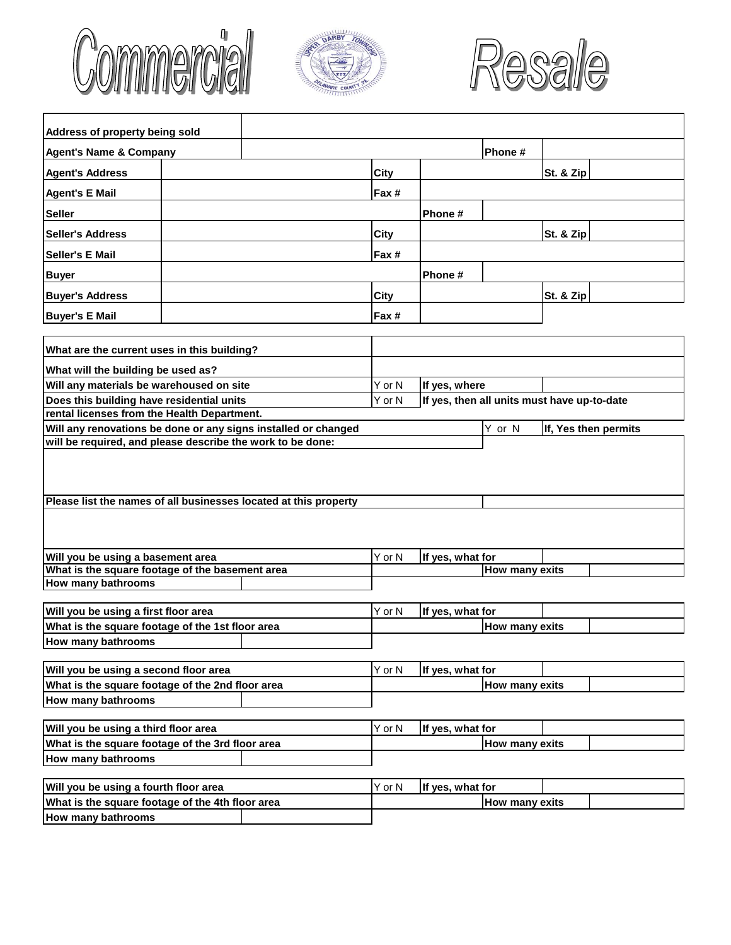





| Address of property being sold                                   |  |        |                  |                                             |           |                      |
|------------------------------------------------------------------|--|--------|------------------|---------------------------------------------|-----------|----------------------|
| <b>Agent's Name &amp; Company</b>                                |  |        |                  | Phone #                                     |           |                      |
| <b>Agent's Address</b>                                           |  | City   |                  |                                             | St. & Zip |                      |
| <b>Agent's E Mail</b>                                            |  | Fax #  |                  |                                             |           |                      |
| <b>Seller</b>                                                    |  |        | Phone #          |                                             |           |                      |
| <b>Seller's Address</b>                                          |  | City   |                  |                                             | St. & Zip |                      |
| <b>Seller's E Mail</b>                                           |  | Fax #  |                  |                                             |           |                      |
| <b>Buyer</b>                                                     |  |        | Phone #          |                                             |           |                      |
| <b>Buyer's Address</b>                                           |  | City   |                  |                                             | St. & Zip |                      |
| <b>Buyer's E Mail</b>                                            |  | Fax #  |                  |                                             |           |                      |
|                                                                  |  |        |                  |                                             |           |                      |
| What are the current uses in this building?                      |  |        |                  |                                             |           |                      |
| What will the building be used as?                               |  |        |                  |                                             |           |                      |
| Will any materials be warehoused on site                         |  | Y or N | If yes, where    |                                             |           |                      |
| Does this building have residential units                        |  | Y or N |                  | If yes, then all units must have up-to-date |           |                      |
| rental licenses from the Health Department.                      |  |        |                  |                                             |           |                      |
| Will any renovations be done or any signs installed or changed   |  |        |                  | Y or N                                      |           | If, Yes then permits |
| will be required, and please describe the work to be done:       |  |        |                  |                                             |           |                      |
|                                                                  |  |        |                  |                                             |           |                      |
|                                                                  |  |        |                  |                                             |           |                      |
|                                                                  |  |        |                  |                                             |           |                      |
| Please list the names of all businesses located at this property |  |        |                  |                                             |           |                      |
|                                                                  |  |        |                  |                                             |           |                      |
|                                                                  |  |        |                  |                                             |           |                      |
|                                                                  |  | Y or N |                  |                                             |           |                      |
| Will you be using a basement area                                |  |        | If yes, what for |                                             |           |                      |
| What is the square footage of the basement area                  |  |        |                  | <b>How many exits</b>                       |           |                      |
| <b>How many bathrooms</b>                                        |  |        |                  |                                             |           |                      |
| Will you be using a first floor area                             |  | Y or N | If yes, what for |                                             |           |                      |
| What is the square footage of the 1st floor area                 |  |        |                  | How many exits                              |           |                      |
| <b>How many bathrooms</b>                                        |  |        |                  |                                             |           |                      |
|                                                                  |  |        |                  |                                             |           |                      |
| Will you be using a second floor area                            |  |        | If yes, what for |                                             |           |                      |
| What is the square footage of the 2nd floor area                 |  |        |                  | <b>How many exits</b>                       |           |                      |
| <b>How many bathrooms</b>                                        |  |        |                  |                                             |           |                      |
| Will you be using a third floor area                             |  | Y or N | If yes, what for |                                             |           |                      |
| What is the square footage of the 3rd floor area                 |  |        |                  | <b>How many exits</b>                       |           |                      |
| <b>How many bathrooms</b>                                        |  |        |                  |                                             |           |                      |
|                                                                  |  |        |                  |                                             |           |                      |
| Will you be using a fourth floor area                            |  |        | If yes, what for |                                             |           |                      |
| What is the square footage of the 4th floor area                 |  |        |                  | How many exits                              |           |                      |
| How many bathrooms                                               |  |        |                  |                                             |           |                      |